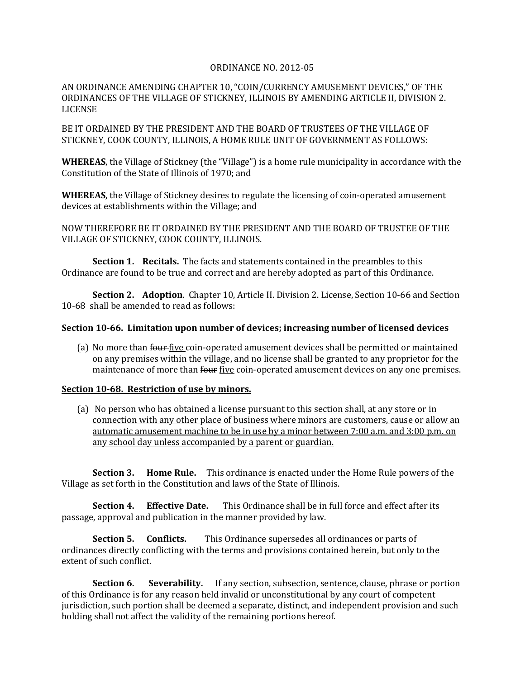## ORDINANCE NO. 2012-05

AN ORDINANCE AMENDING CHAPTER 10, "COIN/CURRENCY AMUSEMENT DEVICES," OF THE ORDINANCES OF THE VILLAGE OF STICKNEY, ILLINOIS BY AMENDING ARTICLE II, DIVISION 2. LICENSE

BE IT ORDAINED BY THE PRESIDENT AND THE BOARD OF TRUSTEES OF THE VILLAGE OF STICKNEY, COOK COUNTY, ILLINOIS, A HOME RULE UNIT OF GOVERNMENT AS FOLLOWS:

**WHEREAS**, the Village of Stickney (the "Village") is a home rule municipality in accordance with the Constitution of the State of Illinois of 1970; and

**WHEREAS**, the Village of Stickney desires to regulate the licensing of coin-operated amusement devices at establishments within the Village; and

NOW THEREFORE BE IT ORDAINED BY THE PRESIDENT AND THE BOARD OF TRUSTEE OF THE VILLAGE OF STICKNEY, COOK COUNTY, ILLINOIS.

**Section 1. Recitals.** The facts and statements contained in the preambles to this Ordinance are found to be true and correct and are hereby adopted as part of this Ordinance.

**Section 2. Adoption**. Chapter 10, Article II. Division 2. License, Section 10-66 and Section 10-68 shall be amended to read as follows:

## **Section 10-66. Limitation upon number of devices; increasing number of licensed devices**

(a) No more than four five coin-operated amusement devices shall be permitted or maintained on any premises within the village, and no license shall be granted to any proprietor for the maintenance of more than four five coin-operated amusement devices on any one premises.

## **Section 10-68. Restriction of use by minors.**

(a) No person who has obtained a license pursuant to this section shall, at any store or in connection with any other place of business where minors are customers, cause or allow an automatic amusement machine to be in use by a minor between 7:00 a.m. and 3:00 p.m. on any school day unless accompanied by a parent or guardian.

**Section 3. Home Rule.** This ordinance is enacted under the Home Rule powers of the Village as set forth in the Constitution and laws of the State of Illinois.

**Section 4. Effective Date.** This Ordinance shall be in full force and effect after its passage, approval and publication in the manner provided by law.

**Section 5. Conflicts.** This Ordinance supersedes all ordinances or parts of ordinances directly conflicting with the terms and provisions contained herein, but only to the extent of such conflict.

**Section 6.** Severability. If any section, subsection, sentence, clause, phrase or portion of this Ordinance is for any reason held invalid or unconstitutional by any court of competent jurisdiction, such portion shall be deemed a separate, distinct, and independent provision and such holding shall not affect the validity of the remaining portions hereof.